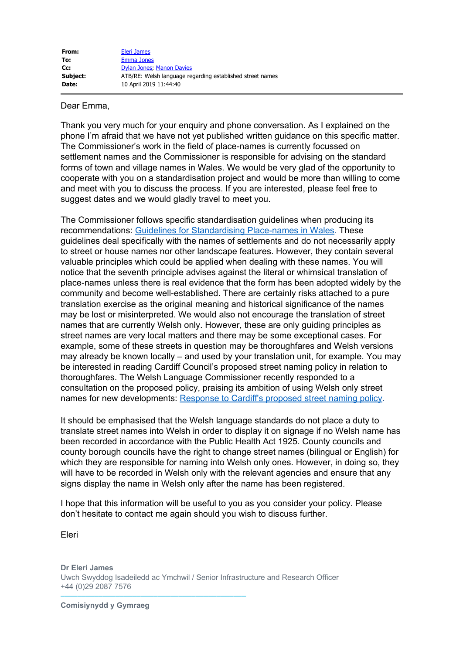| From:    | <b>Eleri James</b>                                        |
|----------|-----------------------------------------------------------|
| To:      | <b>Emma Jones</b>                                         |
| Cc:      | Dylan Jones: Manon Davies                                 |
| Subject: | ATB/RE: Welsh language regarding established street names |
| Date:    | 10 April 2019 11:44:40                                    |

## Dear Emma,

Thank you very much for your enquiry and phone conversation. As I explained on the phone I'm afraid that we have not yet published written guidance on this specific matter. The Commissioner's work in the field of place-names is currently focussed on settlement names and the Commissioner is responsible for advising on the standard forms of town and village names in Wales. We would be very glad of the opportunity to cooperate with you on a standardisation project and would be more than willing to come and meet with you to discuss the process. If you are interested, please feel free to suggest dates and we would gladly travel to meet you.

The Commissioner follows specific standardisation guidelines when producing its recommendations: [Guidelines for Standardising Place-names in Wales](http://www.comisiynyddygymraeg.cymru/English/Publications%20List/20180618%20DG%20S%20Guidelines%20for%20Standardising%20Place-names%20in%20Wales.pdf). These guidelines deal specifically with the names of settlements and do not necessarily apply to street or house names nor other landscape features. However, they contain several valuable principles which could be applied when dealing with these names. You will notice that the seventh principle advises against the literal or whimsical translation of place-names unless there is real evidence that the form has been adopted widely by the community and become well-established. There are certainly risks attached to a pure translation exercise as the original meaning and historical significance of the names may be lost or misinterpreted. We would also not encourage the translation of street names that are currently Welsh only. However, these are only guiding principles as street names are very local matters and there may be some exceptional cases. For example, some of these streets in question may be thoroughfares and Welsh versions may already be known locally – and used by your translation unit, for example. You may be interested in reading Cardiff Council's proposed street naming policy in relation to thoroughfares. The Welsh Language Commissioner recently responded to a consultation on the proposed policy, praising its ambition of using Welsh only street names for new developments: [Response to Cardiff's proposed street naming policy](http://www.comisiynyddygymraeg.cymru/English/Publications%20List/20190311%20LL%20S%20Street%20Naming%20Policy.pdf).

It should be emphasised that the Welsh language standards do not place a duty to translate street names into Welsh in order to display it on signage if no Welsh name has been recorded in accordance with the Public Health Act 1925. County councils and county borough councils have the right to change street names (bilingual or English) for which they are responsible for naming into Welsh only ones. However, in doing so, they will have to be recorded in Welsh only with the relevant agencies and ensure that any signs display the name in Welsh only after the name has been registered.

I hope that this information will be useful to you as you consider your policy. Please don't hesitate to contact me again should you wish to discuss further.

Eleri

**Dr Eleri James** Uwch Swyddog Isadeiledd ac Ymchwil / Senior Infrastructure and Research Officer +44 (0)29 2087 7576

––––––––––––––––––––––––––––––––––––––––––––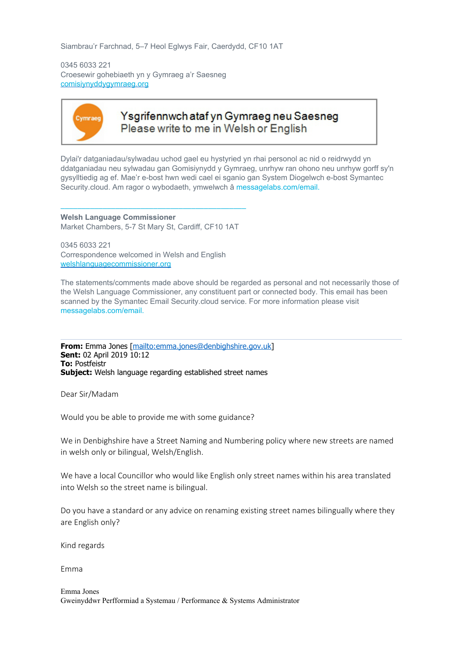Siambrau'r Farchnad, 5–7 Heol Eglwys Fair, Caerdydd, CF10 1AT

0345 6033 221 Croesewir gohebiaeth yn y Gymraeg a'r Saesneg [comisiynyddygymraeg.org](http://www.comisiynyddygymraeg.org/)



## Ysgrifennwch ataf yn Gymraeg neu Saesneg Please write to me in Welsh or English

Dylai'r datganiadau/sylwadau uchod gael eu hystyried yn rhai personol ac nid o reidrwydd yn ddatganiadau neu sylwadau gan Gomisiynydd y Gymraeg, unrhyw ran ohono neu unrhyw gorff sy'n gysylltiedig ag ef. Mae'r e-bost hwn wedi cael ei sganio gan System Diogelwch e-bost Symantec Security.cloud. Am ragor o wybodaeth, ymwelwch â messagelabs.com/email.

–––––––––––––––––––––––––––––––––––––––––––– **Welsh Language Commissioner** Market Chambers, 5-7 St Mary St, Cardiff, CF10 1AT

0345 6033 221 Correspondence welcomed in Welsh and English [welshlanguagecommissioner.org](http://welshlanguagecommissioner.org/)

The statements/comments made above should be regarded as personal and not necessarily those of the Welsh Language Commissioner, any constituent part or connected body. This email has been scanned by the Symantec Email Security.cloud service. For more information please visit messagelabs.com/email.

**From:** Emma Jones [\[mailto:emma.jones@denbighshire.gov.uk](mailto:emma.jones@denbighshire.gov.uk)] **Sent:** 02 April 2019 10:12 **To:** Postfeistr **Subject:** Welsh language regarding established street names

Dear Sir/Madam

Would you be able to provide me with some guidance?

We in Denbighshire have a Street Naming and Numbering policy where new streets are named in welsh only or bilingual, Welsh/English.

We have a local Councillor who would like English only street names within his area translated into Welsh so the street name is bilingual.

Do you have a standard or any advice on renaming existing street names bilingually where they are English only?

Kind regards

Emma

Emma Jones Gweinyddwr Perfformiad a Systemau / Performance & Systems Administrator